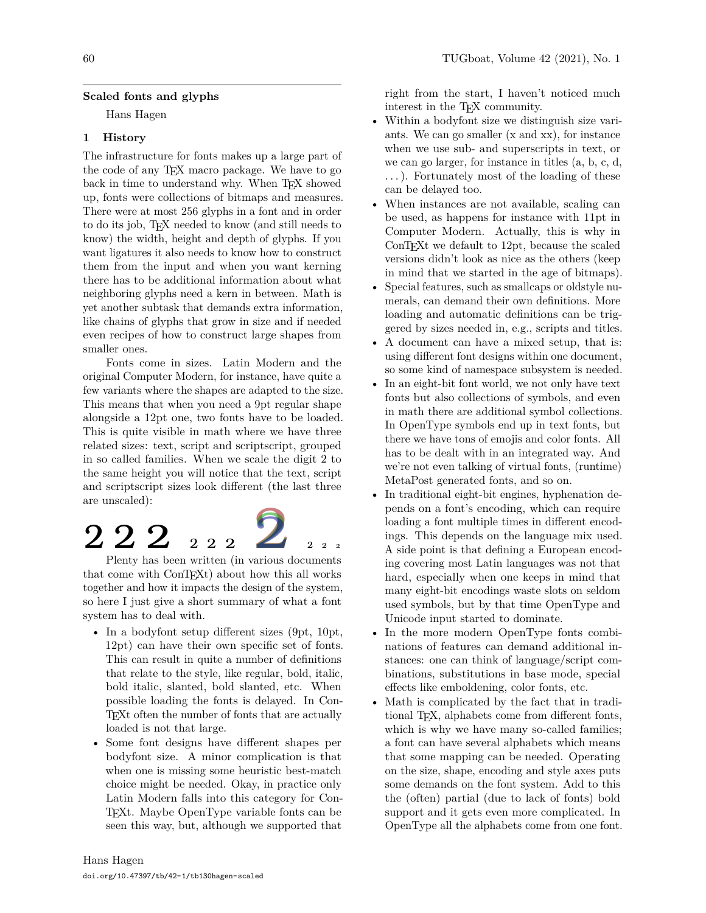### **Scaled fonts and glyphs**

Hans Hagen

### **1 History**

The infrastructure for fonts makes up a large part of the code of any TEX macro package. We have to go back in time to understand why. When TEX showed up, fonts were collections of bitmaps and measures. There were at most 256 glyphs in a font and in order to do its job, TEX needed to know (and still needs to know) the width, height and depth of glyphs. If you want ligatures it also needs to know how to construct them from the input and when you want kerning there has to be additional information about what neighboring glyphs need a kern in between. Math is yet another subtask that demands extra information, like chains of glyphs that grow in size and if needed even recipes of how to construct large shapes from smaller ones.

Fonts come in sizes. Latin Modern and the original Computer Modern, for instance, have quite a few variants where the shapes are adapted to the size. This means that when you need a 9pt regular shape alongside a 12pt one, two fonts have to be loaded. This is quite visible in math where we have three related sizes: text, script and scriptscript, grouped in so called families. When we scale the digit 2 to the same height you will notice that the text, script and scriptscript sizes look different (the last three are unscaled):

# $2$  2  $2$  2  $2$  2  $2$  2  $2$  2  $2$

Plenty has been written (in various documents that come with ConT<sub>E</sub>X<sup>t</sup>) about how this all works together and how it impacts the design of the system, so here I just give a short summary of what a font system has to deal with.

- In a bodyfont setup different sizes (9pt, 10pt, 12pt) can have their own specific set of fonts. This can result in quite a number of definitions that relate to the style, like regular, bold, italic, bold italic, slanted, bold slanted, etc. When possible loading the fonts is delayed. In Con-TEXt often the number of fonts that are actually loaded is not that large.
- Some font designs have different shapes per bodyfont size. A minor complication is that when one is missing some heuristic best-match choice might be needed. Okay, in practice only Latin Modern falls into this category for Con-TEXt. Maybe OpenType variable fonts can be seen this way, but, although we supported that

right from the start, I haven't noticed much interest in the T<sub>E</sub>X community.

- Within a bodyfont size we distinguish size variants. We can go smaller (x and xx), for instance when we use sub- and superscripts in text, or we can go larger, for instance in titles (a, b, c, d, . . . ). Fortunately most of the loading of these can be delayed too.
- When instances are not available, scaling can be used, as happens for instance with 11pt in Computer Modern. Actually, this is why in ConTEXt we default to 12pt, because the scaled versions didn't look as nice as the others (keep in mind that we started in the age of bitmaps).
- Special features, such as smallcaps or oldstyle numerals, can demand their own definitions. More loading and automatic definitions can be triggered by sizes needed in, e.g., scripts and titles.
- A document can have a mixed setup, that is: using different font designs within one document, so some kind of namespace subsystem is needed.
- In an eight-bit font world, we not only have text fonts but also collections of symbols, and even in math there are additional symbol collections. In OpenType symbols end up in text fonts, but there we have tons of emojis and color fonts. All has to be dealt with in an integrated way. And we're not even talking of virtual fonts, (runtime) MetaPost generated fonts, and so on.
- In traditional eight-bit engines, hyphenation depends on a font's encoding, which can require loading a font multiple times in different encodings. This depends on the language mix used. A side point is that defining a European encoding covering most Latin languages was not that hard, especially when one keeps in mind that many eight-bit encodings waste slots on seldom used symbols, but by that time OpenType and Unicode input started to dominate.
- In the more modern OpenType fonts combinations of features can demand additional instances: one can think of language/script combinations, substitutions in base mode, special effects like emboldening, color fonts, etc.
- Math is complicated by the fact that in traditional TEX, alphabets come from different fonts, which is why we have many so-called families; a font can have several alphabets which means that some mapping can be needed. Operating on the size, shape, encoding and style axes puts some demands on the font system. Add to this the (often) partial (due to lack of fonts) bold support and it gets even more complicated. In OpenType all the alphabets come from one font.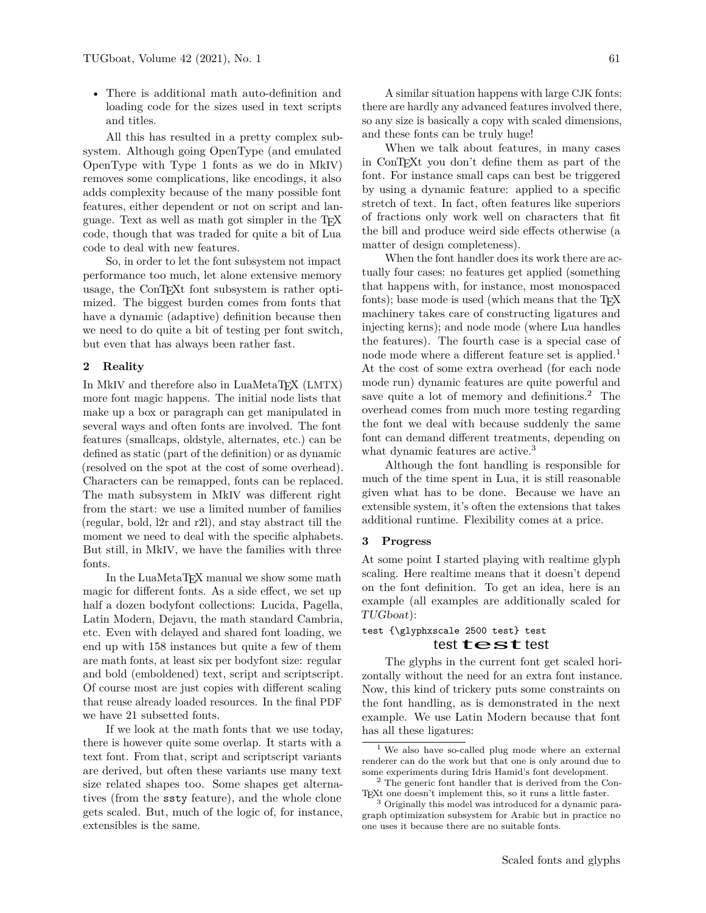• There is additional math auto-definition and loading code for the sizes used in text scripts and titles.

All this has resulted in a pretty complex subsystem. Although going OpenType (and emulated OpenType with Type 1 fonts as we do in MkIV) removes some complications, like encodings, it also adds complexity because of the many possible font features, either dependent or not on script and language. Text as well as math got simpler in the TEX code, though that was traded for quite a bit of Lua code to deal with new features.

So, in order to let the font subsystem not impact performance too much, let alone extensive memory usage, the ConTEXt font subsystem is rather optimized. The biggest burden comes from fonts that have a dynamic (adaptive) definition because then we need to do quite a bit of testing per font switch, but even that has always been rather fast.

### **2 Reality**

In MkIV and therefore also in LuaMetaT<sub>F</sub>X (LMTX) more font magic happens. The initial node lists that make up a box or paragraph can get manipulated in several ways and often fonts are involved. The font features (smallcaps, oldstyle, alternates, etc.) can be defined as static (part of the definition) or as dynamic (resolved on the spot at the cost of some overhead). Characters can be remapped, fonts can be replaced. The math subsystem in MkIV was different right from the start: we use a limited number of families (regular, bold, l2r and r2l), and stay abstract till the moment we need to deal with the specific alphabets. But still, in MkIV, we have the families with three fonts.

In the LuaMetaT<sub>EX</sub> manual we show some math magic for different fonts. As a side effect, we set up half a dozen bodyfont collections: Lucida, Pagella, Latin Modern, Dejavu, the math standard Cambria, etc. Even with delayed and shared font loading, we end up with 158 instances but quite a few of them are math fonts, at least six per bodyfont size: regular and bold (emboldened) text, script and scriptscript. Of course most are just copies with different scaling that reuse already loaded resources. In the final PDF we have 21 subsetted fonts.

If we look at the math fonts that we use today, there is however quite some overlap. It starts with a text font. From that, script and scriptscript variants are derived, but often these variants use many text size related shapes too. Some shapes get alternatives (from the ssty feature), and the whole clone gets scaled. But, much of the logic of, for instance, extensibles is the same.

A similar situation happens with large CJK fonts: there are hardly any advanced features involved there, so any size is basically a copy with scaled dimensions, and these fonts can be truly huge!

When we talk about features, in many cases in ConTEXt you don't define them as part of the font. For instance small caps can best be triggered by using a dynamic feature: applied to a specific stretch of text. In fact, often features like superiors of fractions only work well on characters that fit the bill and produce weird side effects otherwise (a matter of design completeness).

When the font handler does its work there are actually four cases: no features get applied (something that happens with, for instance, most monospaced fonts); base mode is used (which means that the T<sub>F</sub>X machinery takes care of constructing ligatures and injecting kerns); and node mode (where Lua handles the features). The fourth case is a special case of node mode where a different feature set is applied.<sup>[1](#page-1-0)</sup> At the cost of some extra overhead (for each node mode run) dynamic features are quite powerful and save quite a lot of memory and definitions.<sup>[2](#page-1-1)</sup> The overhead comes from much more testing regarding the font we deal with because suddenly the same font can demand different treatments, depending on what dynamic features are active.<sup>[3](#page-1-2)</sup>

Although the font handling is responsible for much of the time spent in Lua, it is still reasonable given what has to be done. Because we have an extensible system, it's often the extensions that takes additional runtime. Flexibility comes at a price.

### **3 Progress**

At some point I started playing with realtime glyph scaling. Here realtime means that it doesn't depend on the font definition. To get an idea, here is an example (all examples are additionally scaled for TUGboat):

# test {\glyphxscale 2500 test} test

### test  $t$ est test

The glyphs in the current font get scaled horizontally without the need for an extra font instance. Now, this kind of trickery puts some constraints on the font handling, as is demonstrated in the next example. We use Latin Modern because that font has all these ligatures:

<span id="page-1-0"></span>We also have so-called plug mode where an external renderer can do the work but that one is only around due to some experiments during Idris Hamid's font development.

<span id="page-1-1"></span><sup>2</sup> The generic font handler that is derived from the Con-TEXt one doesn't implement this, so it runs a little faster.

<span id="page-1-2"></span><sup>3</sup> Originally this model was introduced for a dynamic paragraph optimization subsystem for Arabic but in practice no one uses it because there are no suitable fonts.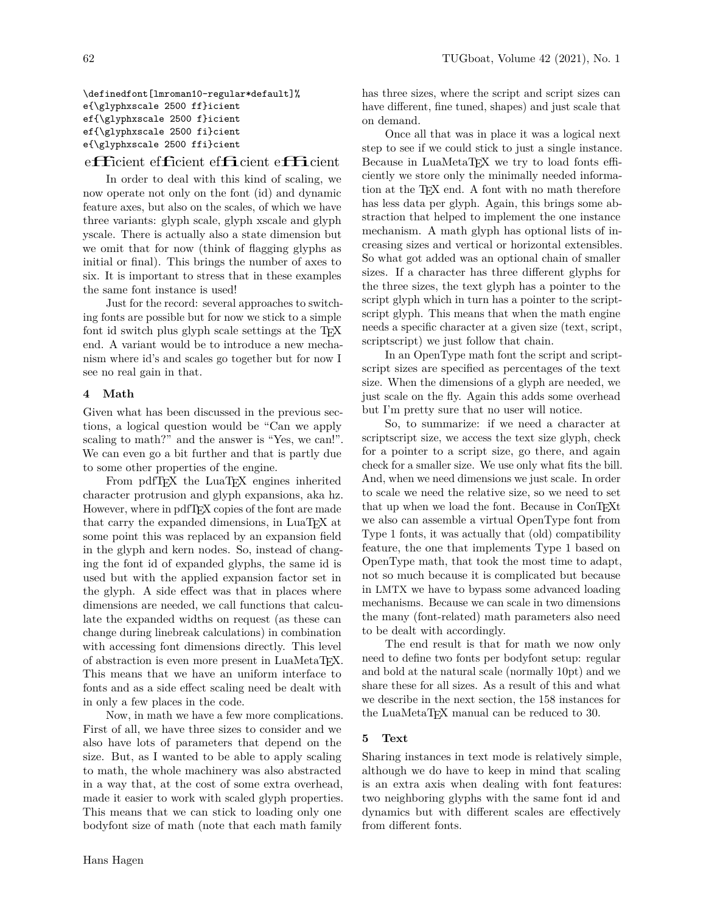\definedfont[lmroman10-regular\*default]% e{\glyphxscale 2500 ff}icient ef{\glyphxscale 2500 f}icient ef{\glyphxscale 2500 fi}cient e{\glyphxscale 2500 ffi}cient

### efficient efficient efficient efficient

In order to deal with this kind of scaling, we now operate not only on the font (id) and dynamic feature axes, but also on the scales, of which we have three variants: glyph scale, glyph xscale and glyph yscale. There is actually also a state dimension but we omit that for now (think of flagging glyphs as initial or final). This brings the number of axes to six. It is important to stress that in these examples the same font instance is used!

Just for the record: several approaches to switching fonts are possible but for now we stick to a simple font id switch plus glyph scale settings at the T<sub>EX</sub> end. A variant would be to introduce a new mechanism where id's and scales go together but for now I see no real gain in that.

### **4 Math**

Given what has been discussed in the previous sections, a logical question would be "Can we apply scaling to math?" and the answer is "Yes, we can!". We can even go a bit further and that is partly due to some other properties of the engine.

From pdfT<sub>E</sub>X the LuaT<sub>E</sub>X engines inherited character protrusion and glyph expansions, aka hz. However, where in pdfTEX copies of the font are made that carry the expanded dimensions, in LuaT<sub>EX</sub> at some point this was replaced by an expansion field in the glyph and kern nodes. So, instead of changing the font id of expanded glyphs, the same id is used but with the applied expansion factor set in the glyph. A side effect was that in places where dimensions are needed, we call functions that calculate the expanded widths on request (as these can change during linebreak calculations) in combination with accessing font dimensions directly. This level of abstraction is even more present in LuaMetaTFX. This means that we have an uniform interface to fonts and as a side effect scaling need be dealt with in only a few places in the code.

Now, in math we have a few more complications. First of all, we have three sizes to consider and we also have lots of parameters that depend on the size. But, as I wanted to be able to apply scaling to math, the whole machinery was also abstracted in a way that, at the cost of some extra overhead, made it easier to work with scaled glyph properties. This means that we can stick to loading only one bodyfont size of math (note that each math family

have different, fine tuned, shapes) and just scale that on demand. Once all that was in place it was a logical next

step to see if we could stick to just a single instance. Because in LuaMetaTEX we try to load fonts efficiently we store only the minimally needed information at the TEX end. A font with no math therefore has less data per glyph. Again, this brings some abstraction that helped to implement the one instance mechanism. A math glyph has optional lists of increasing sizes and vertical or horizontal extensibles. So what got added was an optional chain of smaller sizes. If a character has three different glyphs for the three sizes, the text glyph has a pointer to the script glyph which in turn has a pointer to the scriptscript glyph. This means that when the math engine needs a specific character at a given size (text, script, scriptscript) we just follow that chain.

has three sizes, where the script and script sizes can

In an OpenType math font the script and scriptscript sizes are specified as percentages of the text size. When the dimensions of a glyph are needed, we just scale on the fly. Again this adds some overhead but I'm pretty sure that no user will notice.

So, to summarize: if we need a character at scriptscript size, we access the text size glyph, check for a pointer to a script size, go there, and again check for a smaller size. We use only what fits the bill. And, when we need dimensions we just scale. In order to scale we need the relative size, so we need to set that up when we load the font. Because in ConTEXt we also can assemble a virtual OpenType font from Type 1 fonts, it was actually that (old) compatibility feature, the one that implements Type 1 based on OpenType math, that took the most time to adapt, not so much because it is complicated but because in LMTX we have to bypass some advanced loading mechanisms. Because we can scale in two dimensions the many (font-related) math parameters also need to be dealt with accordingly.

The end result is that for math we now only need to define two fonts per bodyfont setup: regular and bold at the natural scale (normally 10pt) and we share these for all sizes. As a result of this and what we describe in the next section, the 158 instances for the LuaMetaTEX manual can be reduced to 30.

### **5 Text**

Sharing instances in text mode is relatively simple, although we do have to keep in mind that scaling is an extra axis when dealing with font features: two neighboring glyphs with the same font id and dynamics but with different scales are effectively from different fonts.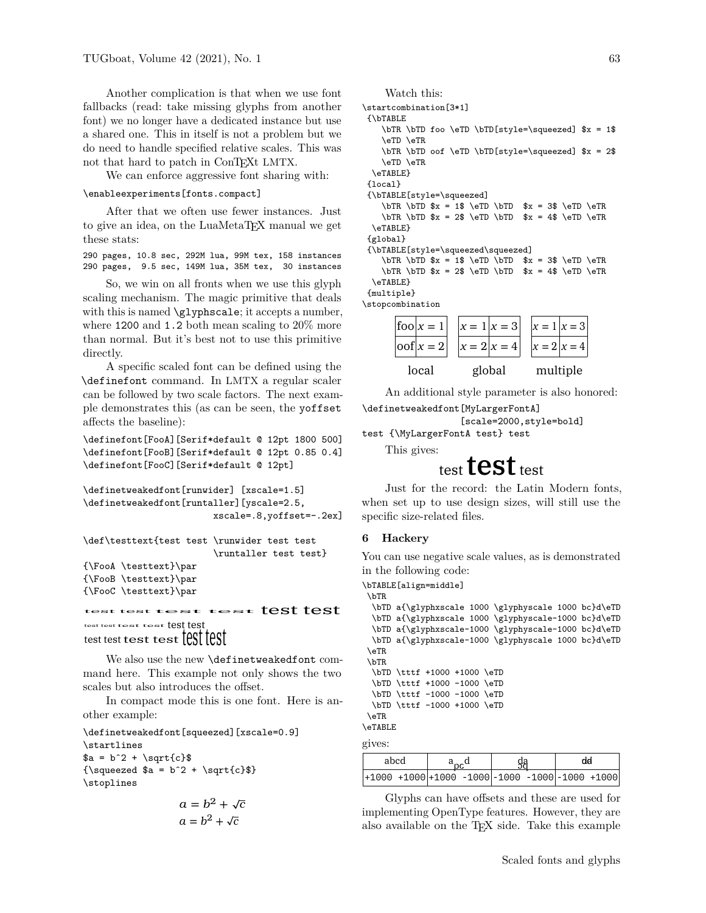Another complication is that when we use font fallbacks (read: take missing glyphs from another font) we no longer have a dedicated instance but use a shared one. This in itself is not a problem but we do need to handle specified relative scales. This was not that hard to patch in ConTEXt LMTX.

We can enforce aggressive font sharing with:

#### \enableexperiments[fonts.compact]

After that we often use fewer instances. Just to give an idea, on the LuaMetaT<sub>EX</sub> manual we get these stats:

290 pages, 10.8 sec, 292M lua, 99M tex, 158 instances 290 pages, 9.5 sec, 149M lua, 35M tex, 30 instances

So, we win on all fronts when we use this glyph scaling mechanism. The magic primitive that deals with this is named \glyphscale; it accepts a number, where 1200 and 1.2 both mean scaling to 20% more than normal. But it's best not to use this primitive directly.

A specific scaled font can be defined using the \definefont command. In LMTX a regular scaler can be followed by two scale factors. The next example demonstrates this (as can be seen, the yoffset affects the baseline):

\definefont[FooA][Serif\*default @ 12pt 1800 500] \definefont[FooB][Serif\*default @ 12pt 0.85 0.4] \definefont[FooC][Serif\*default @ 12pt]

```
\definetweakedfont[runwider] [xscale=1.5]
\definetweakedfont[runtaller][yscale=2.5,
                      xscale=.8,yoffset=-.2ex]
\def\testtext{test test \runwider test test
                       \runtaller test test}
{\FooA \testtext}\par
{\FooB \testtext}\par
{\FooC \testtext}\par
test test test test test test
```
test test test test test test test test test test test test

We also use the new \definetweakedfont command here. This example not only shows the two scales but also introduces the offset.

In compact mode this is one font. Here is another example:

\definetweakedfont[squeezed][xscale=0.9] \startlines  $a = b^2 + \sqrt{c}$  ${\sqrt{squeezed $a = b^2 + \sqrt{sqt(c)}}}$ \stoplines

$$
a = b^2 + \sqrt{c}
$$

$$
a = b^2 + \sqrt{c}
$$

Watch this:

```
\startcombination[3*1]
{\bTABLE
   \bTR \bTD foo \eTD \bTD[style=\squeezed] $x = 1$
   \eTD \eTR
   \bTR \bTD oof \eTD \bTD[style=\squeezed] $x = 2$
   \eTD \eTR
 \eTABLE}
{local}
{\bTABLE[style=\squeezed]
    \bTR \bTD x = 1$ \eTD \bTD x = 3$ \eTD \eTR
   \bTR \bTD x = 2 \eTD \bTD x = 4 \eTD \eTR\eTABLE}
{global}
{\bTABLE[style=\squeezed\squeezed]
   \bTR \bTD x = 1$ \eTD \bTD x = 3$ \eTD \eTR
   \bTR \bTD x = 2 \eTD \bTD x = 4 \eTD \eTR\eTABLE}
{multiple}
\stopcombination
      |f \circ \circ | x = 1x = 1 | x = 3x = 1 | x = 3
```


An additional style parameter is also honored:

```
\definetweakedfont[MyLargerFontA]
```
[scale=2000,style=bold]

```
test {\MyLargerFontA test} test
```
This gives:

# test test test

Just for the record: the Latin Modern fonts, when set up to use design sizes, will still use the specific size-related files.

### **6 Hackery**

You can use negative scale values, as is demonstrated in the following code:

\bTABLE[align=middle]

```
\bTR
 \bTD a{\glyphxscale 1000 \glyphyscale 1000 bc}d\eTD
```

```
\bTD a{\glyphxscale 1000 \glyphyscale-1000 bc}d\eTD
  \bTD a{\glyphxscale-1000 \glyphyscale-1000 bc}d\eTD
  \bTD a{\glyphxscale-1000 \glyphyscale 1000 bc}d\eTD
 \eTR
 \bTR
  \bTD \tttf +1000 +1000 \eTD
  \bTD \tttf +1000 -1000 \eTD
  \bTD \tttf -1000 -1000 \eTD
  \bTD \tttf -1000 +1000 \eTD
 \eTR
\eTABLE
gives:
```

| abcd                                                        |  |  |  |  | dd |  |
|-------------------------------------------------------------|--|--|--|--|----|--|
| $ +1000 + 1000 +1000 - 1000  - 1000 - 1000  - 1000 + 1000 $ |  |  |  |  |    |  |

Glyphs can have offsets and these are used for implementing OpenType features. However, they are also available on the TEX side. Take this example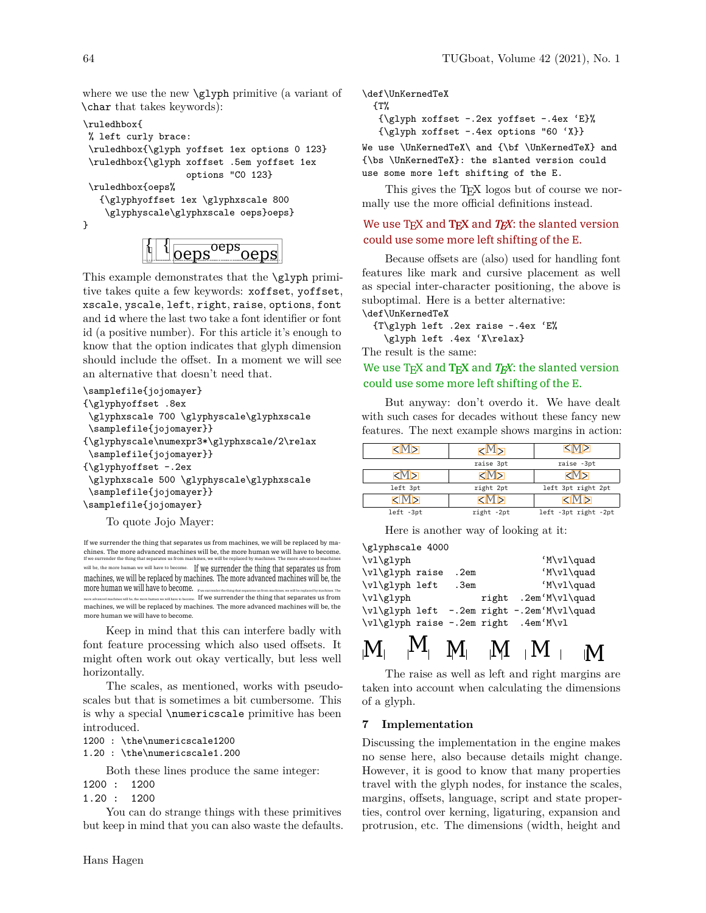where we use the new \glyph primitive (a variant of \char that takes keywords):

```
\ruledhbox{
% left curly brace:
\ruledhbox{\glyph yoffset 1ex options 0 123}
\ruledhbox{\glyph xoffset .5em yoffset 1ex
                   options "C0 123}
\ruledhbox{oeps%
   {\glyphyoffset 1ex \glyphxscale 800
    \glyphyscale\glyphxscale oeps}oeps}
}
```
 $\{ \mid \{$   $_{\text{Oeps}}^{\text{oeps}}$ oeps

This example demonstrates that the \glyph primitive takes quite a few keywords: xoffset, yoffset, xscale, yscale, left, right, raise, options, font and id where the last two take a font identifier or font id (a positive number). For this article it's enough to know that the option indicates that glyph dimension should include the offset. In a moment we will see an alternative that doesn't need that.

```
\samplefile{jojomayer}
{\glyphyoffset .8ex
\glyphxscale 700 \glyphyscale\glyphxscale
\samplefile{jojomayer}}
{\glyphyscale\numexpr3*\glyphxscale/2\relax
\samplefile{jojomayer}}
{\glyphyoffset -.2ex
\glyphxscale 500 \glyphyscale\glyphxscale
\samplefile{jojomayer}}
\samplefile{jojomayer}
```
To quote Jojo Mayer:

If we surrender the thing that separates us from machines, we will be replaced by machines. The more advanced machines will be, the more human we will have to become. If we sure the thing that separates us from machines, where  $\frac{1}{\sqrt{2}}$ will be, the more human we will have to become. If we surrender the thing that separates us from machines, we will be replaced by machines. The more advanced machines will be, the more human we will have to become. If we  $\sim$  If we surrender the thing that separates us from machines, we will be replaced by machines. The more advanced machines will be, the more human we will have to become.

Keep in mind that this can interfere badly with font feature processing which also used offsets. It might often work out okay vertically, but less well horizontally.

The scales, as mentioned, works with pseudoscales but that is sometimes a bit cumbersome. This is why a special \numericscale primitive has been introduced.

```
1200 : \the\numericscale1200
1.20 : \the\numericscale1.200
```
Both these lines produce the same integer:

1200 : 1200

1.20 : 1200

You can do strange things with these primitives but keep in mind that you can also waste the defaults. \def\UnKernedTeX

```
{T%
{\glyph xoffset -.2ex yoffset -.4ex 'E}%
{\glyph xoffset -.4ex options "60 'X}}
```
We use \UnKernedTeX\ and {\bf \UnKernedTeX} and {\bs \UnKernedTeX}: the slanted version could use some more left shifting of the E.

This gives the TEX logos but of course we normally use the more official definitions instead.

# We use  $T_F X$  and  $T_F X$  and  $T_F X$ : the slanted version could use some more left shifting of the E.

Because offsets are (also) used for handling font features like mark and cursive placement as well as special inter-character positioning, the above is suboptimal. Here is a better alternative: \def\UnKernedTeX

{T\glyph left .2ex raise -.4ex 'E% \glyph left .4ex 'X\relax}

The result is the same:

# We use T<sub>E</sub>X and T<sub>E</sub>X and *T<sub>E</sub>X*: the slanted version could use some more left shifting of the E.

But anyway: don't overdo it. We have dealt with such cases for decades without these fancy new features. The next example shows margins in action:

|            | 1MIT       |                      |  |  |
|------------|------------|----------------------|--|--|
|            | raise 3pt  | raise -3pt           |  |  |
| ⋜М⋝        | ⊲М⊳        | ζΜ⋝                  |  |  |
| left 3pt   | right 2pt  | left 3pt right 2pt   |  |  |
| <b>KMP</b> | ⋜ϺϦ        | <b>KIMN</b>          |  |  |
| left -3pt  | right -2pt | left -3pt right -2pt |  |  |

Here is another way of looking at it:

| \glyphscale 4000 |  |      |  |                                            |  |  |  |  |  |
|------------------|--|------|--|--------------------------------------------|--|--|--|--|--|
| \v1\g1yph        |  |      |  | 'M\vl\quad                                 |  |  |  |  |  |
| \vl\glyph raise  |  | .2em |  | 'M\v1\quad                                 |  |  |  |  |  |
| \vl\glyph left   |  | .3em |  | 'M\vl\quad                                 |  |  |  |  |  |
| \v1\g1yph        |  |      |  | right .2em'M\vl\quad                       |  |  |  |  |  |
|                  |  |      |  | \vl\glyph left -.2em right -.2em'M\vl\quad |  |  |  |  |  |
|                  |  |      |  | \vl\glyph raise -.2em right .4em'M\vl      |  |  |  |  |  |
|                  |  |      |  |                                            |  |  |  |  |  |

# $\mathbf{M}$   $\mathbf{M}$   $\mathbf{M}$   $\mathbf{M}$   $\mathbf{M}$   $\mathbf{M}$

The raise as well as left and right margins are taken into account when calculating the dimensions of a glyph.

### **7 Implementation**

Discussing the implementation in the engine makes no sense here, also because details might change. However, it is good to know that many properties travel with the glyph nodes, for instance the scales, margins, offsets, language, script and state properties, control over kerning, ligaturing, expansion and protrusion, etc. The dimensions (width, height and